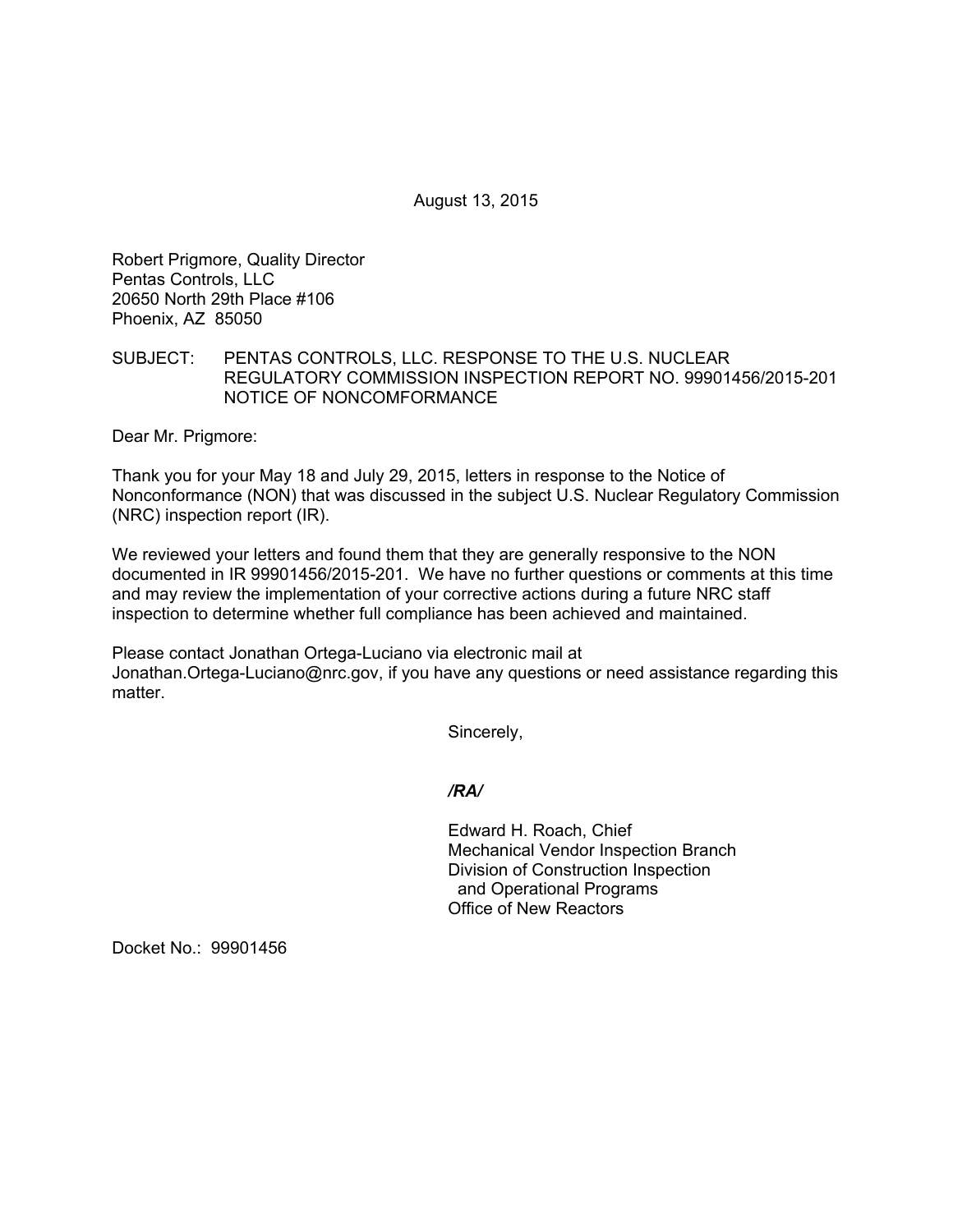August 13, 2015

Robert Prigmore, Quality Director Pentas Controls, LLC 20650 North 29th Place #106 Phoenix, AZ 85050

## SUBJECT: PENTAS CONTROLS, LLC. RESPONSE TO THE U.S. NUCLEAR REGULATORY COMMISSION INSPECTION REPORT NO. 99901456/2015-201 NOTICE OF NONCOMFORMANCE

Dear Mr. Prigmore:

Thank you for your May 18 and July 29, 2015, letters in response to the Notice of Nonconformance (NON) that was discussed in the subject U.S. Nuclear Regulatory Commission (NRC) inspection report (IR).

We reviewed your letters and found them that they are generally responsive to the NON documented in IR 99901456/2015-201. We have no further questions or comments at this time and may review the implementation of your corrective actions during a future NRC staff inspection to determine whether full compliance has been achieved and maintained.

Please contact Jonathan Ortega-Luciano via electronic mail at Jonathan.Ortega-Luciano@nrc.gov, if you have any questions or need assistance regarding this matter.

Sincerely,

*/RA/* 

Edward H. Roach, Chief Mechanical Vendor Inspection Branch Division of Construction Inspection and Operational Programs Office of New Reactors

Docket No.: 99901456